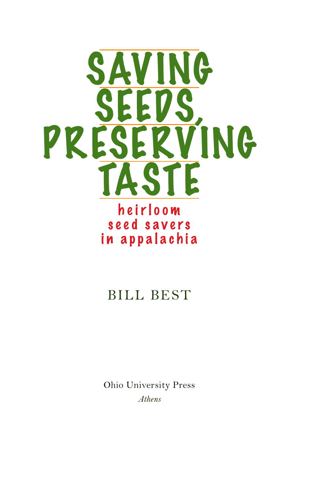

s e e d s a v e r s in appalachia

### Bill Best

Ohio University Press *Athens*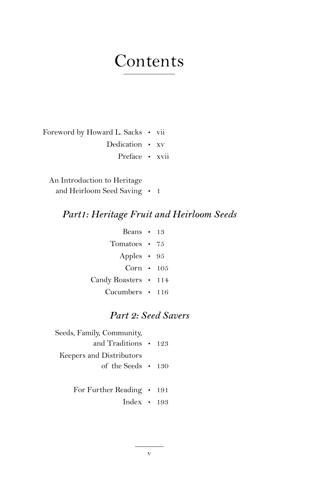### Contents

Foreword by Howard L. Sacks • vii Dedication • xv Preface • xvii

An Introduction to Heritage and Heirloom Seed Saving • 1

#### *Part1: Heritage Fruit and Heirloom Seeds*

| Beans $\cdot$ 13      |  |
|-----------------------|--|
| Tomatoes $\cdot$ 75   |  |
| Apples $\cdot$ 95     |  |
| Corn $\cdot$ 105      |  |
| Candy Roasters • 114  |  |
| Cucumbers $\cdot$ 116 |  |

#### *Part 2: Seed Savers*

 Seeds, Family, Community, and Traditions • 123

Keepers and Distributors

- of the Seeds 130
- For Further Reading 191 Index • 193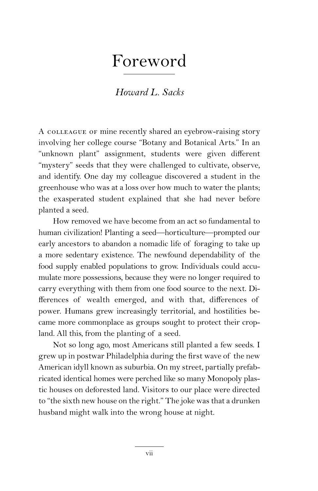### Foreword

#### *Howard L. Sacks*

A colleague of mine recently shared an eyebrow-raising story involving her college course "Botany and Botanical Arts." In an "unknown plant" assignment, students were given different "mystery" seeds that they were challenged to cultivate, observe, and identify. One day my colleague discovered a student in the greenhouse who was at a loss over how much to water the plants; the exasperated student explained that she had never before planted a seed.

How removed we have become from an act so fundamental to human civilization! Planting a seed—horticulture—prompted our early ancestors to abandon a nomadic life of foraging to take up a more sedentary existence. The newfound dependability of the food supply enabled populations to grow. Individuals could accumulate more possessions, because they were no longer required to carry everything with them from one food source to the next. Differences of wealth emerged, and with that, differences of power. Humans grew increasingly territorial, and hostilities became more commonplace as groups sought to protect their cropland. All this, from the planting of a seed.

Not so long ago, most Americans still planted a few seeds. I grew up in postwar Philadelphia during the first wave of the new American idyll known as suburbia. On my street, partially prefabricated identical homes were perched like so many Monopoly plastic houses on deforested land. Visitors to our place were directed to "the sixth new house on the right." The joke was that a drunken husband might walk into the wrong house at night.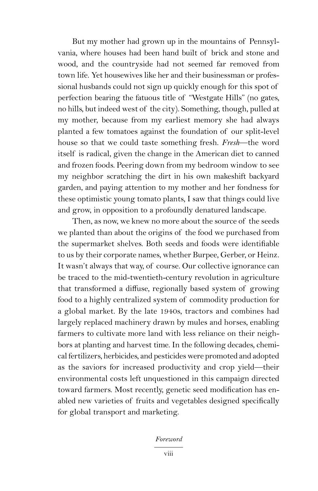But my mother had grown up in the mountains of Pennsylvania, where houses had been hand built of brick and stone and wood, and the countryside had not seemed far removed from town life. Yet housewives like her and their businessman or professional husbands could not sign up quickly enough for this spot of perfection bearing the fatuous title of "Westgate Hills" (no gates, no hills, but indeed west of the city). Something, though, pulled at my mother, because from my earliest memory she had always planted a few tomatoes against the foundation of our split-level house so that we could taste something fresh. *Fresh*—the word itself is radical, given the change in the American diet to canned and frozen foods. Peering down from my bedroom window to see my neighbor scratching the dirt in his own makeshift backyard garden, and paying attention to my mother and her fondness for these optimistic young tomato plants, I saw that things could live and grow, in opposition to a profoundly denatured landscape.

 Then, as now, we knew no more about the source of the seeds we planted than about the origins of the food we purchased from the supermarket shelves. Both seeds and foods were identifiable to us by their corporate names, whether Burpee, Gerber, or Heinz. It wasn't always that way, of course. Our collective ignorance can be traced to the mid-twentieth-century revolution in agriculture that transformed a diffuse, regionally based system of growing food to a highly centralized system of commodity production for a global market. By the late 1940s, tractors and combines had largely replaced machinery drawn by mules and horses, enabling farmers to cultivate more land with less reliance on their neighbors at planting and harvest time. In the following decades, chemical fertilizers, herbicides, and pesticides were promoted and adopted as the saviors for increased productivity and crop yield—their environmental costs left unquestioned in this campaign directed toward farmers. Most recently, genetic seed modification has enabled new varieties of fruits and vegetables designed specifically for global transport and marketing.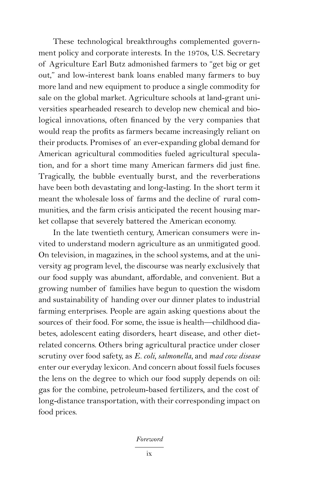These technological breakthroughs complemented government policy and corporate interests. In the 1970s, U.S. Secretary of Agriculture Earl Butz admonished farmers to "get big or get out," and low-interest bank loans enabled many farmers to buy more land and new equipment to produce a single commodity for sale on the global market. Agriculture schools at land-grant universities spearheaded research to develop new chemical and biological innovations, often financed by the very companies that would reap the profits as farmers became increasingly reliant on their products. Promises of an ever-expanding global demand for American agricultural commodities fueled agricultural speculation, and for a short time many American farmers did just fine. Tragically, the bubble eventually burst, and the reverberations have been both devastating and long-lasting. In the short term it meant the wholesale loss of farms and the decline of rural communities, and the farm crisis anticipated the recent housing market collapse that severely battered the American economy.

 In the late twentieth century, American consumers were invited to understand modern agriculture as an unmitigated good. On television, in magazines, in the school systems, and at the university ag program level, the discourse was nearly exclusively that our food supply was abundant, affordable, and convenient. But a growing number of families have begun to question the wisdom and sustainability of handing over our dinner plates to industrial farming enterprises. People are again asking questions about the sources of their food. For some, the issue is health—childhood diabetes, adolescent eating disorders, heart disease, and other dietrelated concerns. Others bring agricultural practice under closer scrutiny over food safety, as *E. coli, salmonella,* and *mad cow disease* enter our everyday lexicon. And concern about fossil fuels focuses the lens on the degree to which our food supply depends on oil: gas for the combine, petroleum-based fertilizers, and the cost of long-distance transportation, with their corresponding impact on food prices.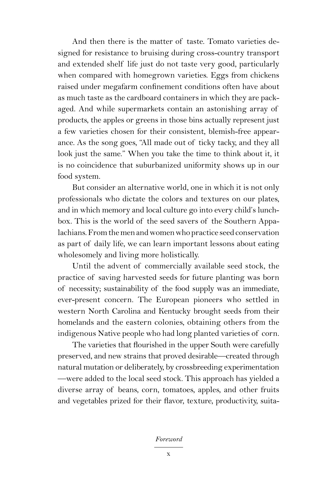And then there is the matter of taste. Tomato varieties designed for resistance to bruising during cross-country transport and extended shelf life just do not taste very good, particularly when compared with homegrown varieties. Eggs from chickens raised under megafarm confinement conditions often have about as much taste as the cardboard containers in which they are packaged. And while supermarkets contain an astonishing array of products, the apples or greens in those bins actually represent just a few varieties chosen for their consistent, blemish-free appearance. As the song goes, "All made out of ticky tacky, and they all look just the same." When you take the time to think about it, it is no coincidence that suburbanized uniformity shows up in our food system.

But consider an alternative world, one in which it is not only professionals who dictate the colors and textures on our plates, and in which memory and local culture go into every child's lunchbox. This is the world of the seed savers of the Southern Appalachians. From the men and women who practice seed conservation as part of daily life, we can learn important lessons about eating wholesomely and living more holistically.

Until the advent of commercially available seed stock, the practice of saving harvested seeds for future planting was born of necessity; sustainability of the food supply was an immediate, ever-present concern. The European pioneers who settled in western North Carolina and Kentucky brought seeds from their homelands and the eastern colonies, obtaining others from the indigenous Native people who had long planted varieties of corn.

The varieties that flourished in the upper South were carefully preserved, and new strains that proved desirable—created through natural mutation or deliberately, by crossbreeding experimentation —were added to the local seed stock. This approach has yielded a diverse array of beans, corn, tomatoes, apples, and other fruits and vegetables prized for their flavor, texture, productivity, suita-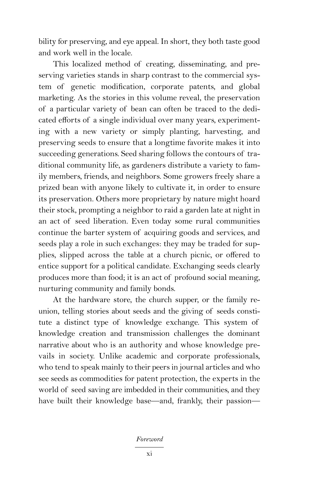bility for preserving, and eye appeal. In short, they both taste good and work well in the locale.

 This localized method of creating, disseminating, and preserving varieties stands in sharp contrast to the commercial system of genetic modification, corporate patents, and global marketing. As the stories in this volume reveal, the preservation of a particular variety of bean can often be traced to the dedicated efforts of a single individual over many years, experimenting with a new variety or simply planting, harvesting, and preserving seeds to ensure that a longtime favorite makes it into succeeding generations. Seed sharing follows the contours of traditional community life, as gardeners distribute a variety to family members, friends, and neighbors. Some growers freely share a prized bean with anyone likely to cultivate it, in order to ensure its preservation. Others more proprietary by nature might hoard their stock, prompting a neighbor to raid a garden late at night in an act of seed liberation. Even today some rural communities continue the barter system of acquiring goods and services, and seeds play a role in such exchanges: they may be traded for supplies, slipped across the table at a church picnic, or offered to entice support for a political candidate. Exchanging seeds clearly produces more than food; it is an act of profound social meaning, nurturing community and family bonds.

At the hardware store, the church supper, or the family reunion, telling stories about seeds and the giving of seeds constitute a distinct type of knowledge exchange. This system of knowledge creation and transmission challenges the dominant narrative about who is an authority and whose knowledge prevails in society. Unlike academic and corporate professionals, who tend to speak mainly to their peers in journal articles and who see seeds as commodities for patent protection, the experts in the world of seed saving are imbedded in their communities, and they have built their knowledge base—and, frankly, their passion—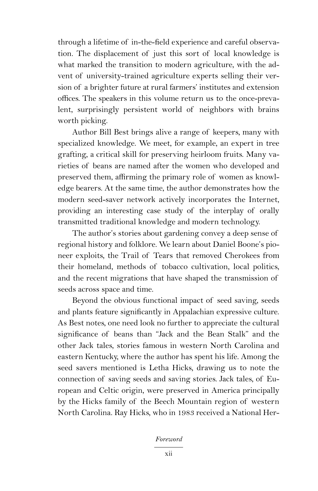through a lifetime of in-the-field experience and careful observation. The displacement of just this sort of local knowledge is what marked the transition to modern agriculture, with the advent of university-trained agriculture experts selling their version of a brighter future at rural farmers' institutes and extension offices. The speakers in this volume return us to the once-prevalent, surprisingly persistent world of neighbors with brains worth picking.

Author Bill Best brings alive a range of keepers, many with specialized knowledge. We meet, for example, an expert in tree grafting, a critical skill for preserving heirloom fruits. Many varieties of beans are named after the women who developed and preserved them, affirming the primary role of women as knowledge bearers. At the same time, the author demonstrates how the modern seed-saver network actively incorporates the Internet, providing an interesting case study of the interplay of orally transmitted traditional knowledge and modern technology.

 The author's stories about gardening convey a deep sense of regional history and folklore. We learn about Daniel Boone's pioneer exploits, the Trail of Tears that removed Cherokees from their homeland, methods of tobacco cultivation, local politics, and the recent migrations that have shaped the transmission of seeds across space and time.

Beyond the obvious functional impact of seed saving, seeds and plants feature significantly in Appalachian expressive culture. As Best notes, one need look no further to appreciate the cultural significance of beans than "Jack and the Bean Stalk" and the other Jack tales, stories famous in western North Carolina and eastern Kentucky, where the author has spent his life. Among the seed savers mentioned is Letha Hicks, drawing us to note the connection of saving seeds and saving stories. Jack tales, of European and Celtic origin, were preserved in America principally by the Hicks family of the Beech Mountain region of western North Carolina. Ray Hicks, who in 1983 received a National Her-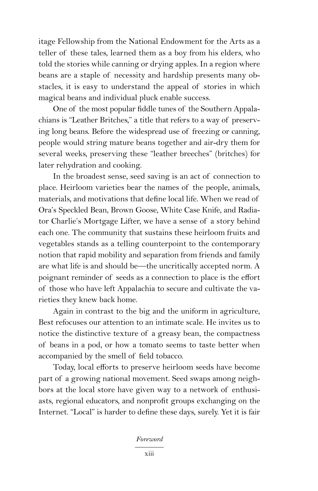itage Fellowship from the National Endowment for the Arts as a teller of these tales, learned them as a boy from his elders, who told the stories while canning or drying apples. In a region where beans are a staple of necessity and hardship presents many obstacles, it is easy to understand the appeal of stories in which magical beans and individual pluck enable success.

One of the most popular fiddle tunes of the Southern Appalachians is "Leather Britches," a title that refers to a way of preserving long beans. Before the widespread use of freezing or canning, people would string mature beans together and air-dry them for several weeks, preserving these "leather breeches" (britches) for later rehydration and cooking.

 In the broadest sense, seed saving is an act of connection to place. Heirloom varieties bear the names of the people, animals, materials, and motivations that define local life. When we read of Ora's Speckled Bean, Brown Goose, White Case Knife, and Radiator Charlie's Mortgage Lifter, we have a sense of a story behind each one. The community that sustains these heirloom fruits and vegetables stands as a telling counterpoint to the contemporary notion that rapid mobility and separation from friends and family are what life is and should be—the uncritically accepted norm. A poignant reminder of seeds as a connection to place is the effort of those who have left Appalachia to secure and cultivate the varieties they knew back home.

Again in contrast to the big and the uniform in agriculture, Best refocuses our attention to an intimate scale. He invites us to notice the distinctive texture of a greasy bean, the compactness of beans in a pod, or how a tomato seems to taste better when accompanied by the smell of field tobacco.

Today, local efforts to preserve heirloom seeds have become part of a growing national movement. Seed swaps among neighbors at the local store have given way to a network of enthusiasts, regional educators, and nonprofit groups exchanging on the Internet. "Local" is harder to define these days, surely. Yet it is fair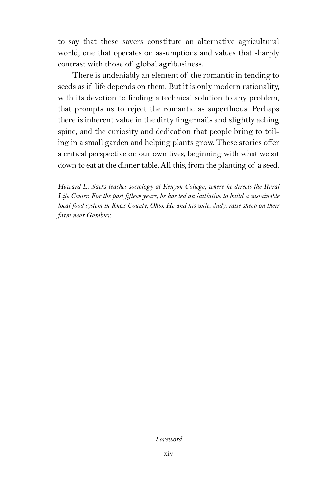to say that these savers constitute an alternative agricultural world, one that operates on assumptions and values that sharply contrast with those of global agribusiness.

 There is undeniably an element of the romantic in tending to seeds as if life depends on them. But it is only modern rationality, with its devotion to finding a technical solution to any problem, that prompts us to reject the romantic as superfluous. Perhaps there is inherent value in the dirty fingernails and slightly aching spine, and the curiosity and dedication that people bring to toiling in a small garden and helping plants grow. These stories offer a critical perspective on our own lives, beginning with what we sit down to eat at the dinner table. All this, from the planting of a seed.

*Howard L. Sacks teaches sociology at Kenyon College, where he directs the Rural*  Life Center. For the past fifteen years, he has led an initiative to build a sustainable *local food system in Knox County, Ohio. He and his wife, Judy, raise sheep on their farm near Gambier.*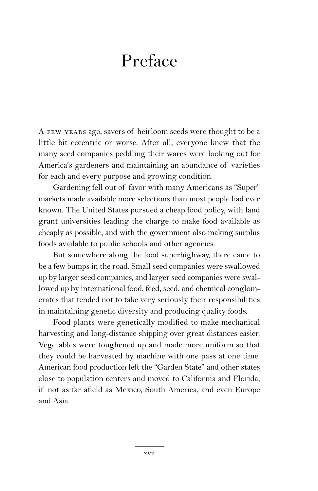## Preface

A few years ago, savers of heirloom seeds were thought to be a little bit eccentric or worse. After all, everyone knew that the many seed companies peddling their wares were looking out for America's gardeners and maintaining an abundance of varieties for each and every purpose and growing condition.

Gardening fell out of favor with many Americans as "Super" markets made available more selections than most people had ever known. The United States pursued a cheap food policy, with land grant universities leading the charge to make food available as cheaply as possible, and with the government also making surplus foods available to public schools and other agencies.

But somewhere along the food superhighway, there came to be a few bumps in the road. Small seed companies were swallowed up by larger seed companies, and larger seed companies were swallowed up by international food, feed, seed, and chemical conglomerates that tended not to take very seriously their responsibilities in maintaining genetic diversity and producing quality foods.

Food plants were genetically modified to make mechanical harvesting and long-distance shipping over great distances easier. Vegetables were toughened up and made more uniform so that they could be harvested by machine with one pass at one time. American food production left the "Garden State" and other states close to population centers and moved to California and Florida, if not as far afield as Mexico, South America, and even Europe and Asia.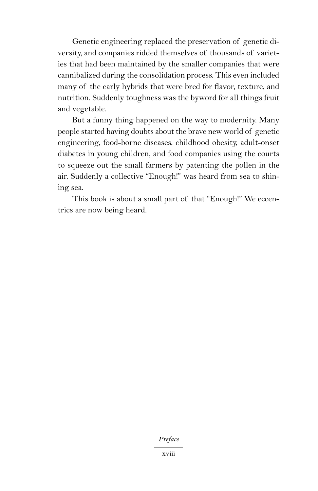Genetic engineering replaced the preservation of genetic diversity, and companies ridded themselves of thousands of varieties that had been maintained by the smaller companies that were cannibalized during the consolidation process. This even included many of the early hybrids that were bred for flavor, texture, and nutrition. Suddenly toughness was the byword for all things fruit and vegetable.

But a funny thing happened on the way to modernity. Many people started having doubts about the brave new world of genetic engineering, food-borne diseases, childhood obesity, adult-onset diabetes in young children, and food companies using the courts to squeeze out the small farmers by patenting the pollen in the air. Suddenly a collective "Enough!" was heard from sea to shining sea.

 This book is about a small part of that "Enough!" We eccentrics are now being heard.

*Preface*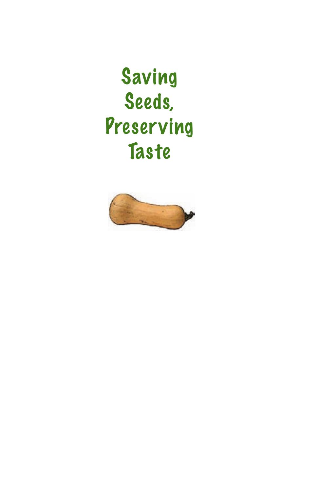Saving Seeds, Preser ving Taste

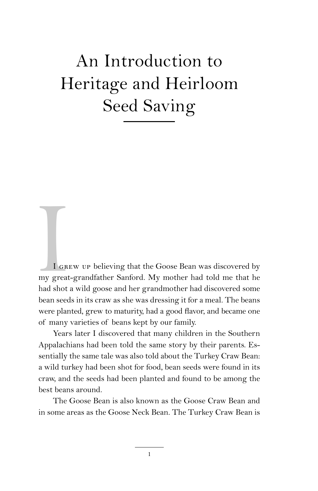# An Introduction to Heritage and Heirloom Seed Saving

I GRE<br>my great-<br>had shot a I grew up believing that the Goose Bean was discovered by my great-grandfather Sanford. My mother had told me that he had shot a wild goose and her grandmother had discovered some bean seeds in its craw as she was dressing it for a meal. The beans were planted, grew to maturity, had a good flavor, and became one of many varieties of beans kept by our family.

Years later I discovered that many children in the Southern Appalachians had been told the same story by their parents. Essentially the same tale was also told about the Turkey Craw Bean: a wild turkey had been shot for food, bean seeds were found in its craw, and the seeds had been planted and found to be among the best beans around.

 The Goose Bean is also known as the Goose Craw Bean and in some areas as the Goose Neck Bean. The Turkey Craw Bean is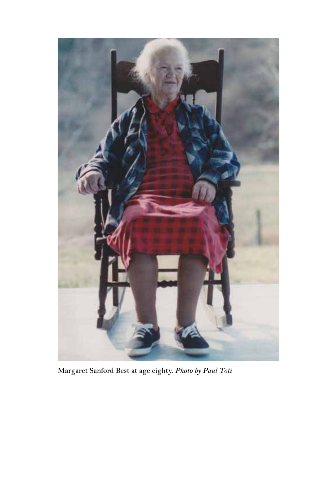

**Margaret Sanford Best at age eighty.** *Photo by Paul Toti*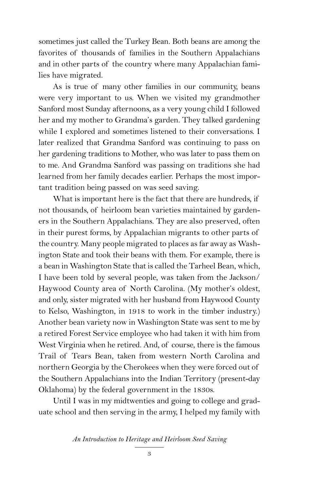sometimes just called the Turkey Bean. Both beans are among the favorites of thousands of families in the Southern Appalachians and in other parts of the country where many Appalachian families have migrated.

As is true of many other families in our community, beans were very important to us. When we visited my grandmother Sanford most Sunday afternoons, as a very young child I followed her and my mother to Grandma's garden. They talked gardening while I explored and sometimes listened to their conversations. I later realized that Grandma Sanford was continuing to pass on her gardening traditions to Mother, who was later to pass them on to me. And Grandma Sanford was passing on traditions she had learned from her family decades earlier. Perhaps the most important tradition being passed on was seed saving.

What is important here is the fact that there are hundreds, if not thousands, of heirloom bean varieties maintained by gardeners in the Southern Appalachians. They are also preserved, often in their purest forms, by Appalachian migrants to other parts of the country. Many people migrated to places as far away as Washington State and took their beans with them. For example, there is a bean in Washington State that is called the Tarheel Bean, which, I have been told by several people, was taken from the Jackson/ Haywood County area of North Carolina. (My mother's oldest, and only, sister migrated with her husband from Haywood County to Kelso, Washington, in 1918 to work in the timber industry.) Another bean variety now in Washington State was sent to me by a retired Forest Service employee who had taken it with him from West Virginia when he retired. And, of course, there is the famous Trail of Tears Bean, taken from western North Carolina and northern Georgia by the Cherokees when they were forced out of the Southern Appalachians into the Indian Territory (present-day Oklahoma) by the federal government in the 1830s.

Until I was in my midtwenties and going to college and graduate school and then serving in the army, I helped my family with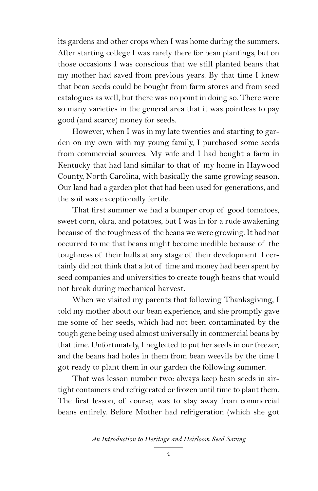its gardens and other crops when I was home during the summers. After starting college I was rarely there for bean plantings, but on those occasions I was conscious that we still planted beans that my mother had saved from previous years. By that time I knew that bean seeds could be bought from farm stores and from seed catalogues as well, but there was no point in doing so. There were so many varieties in the general area that it was pointless to pay good (and scarce) money for seeds.

However, when I was in my late twenties and starting to garden on my own with my young family, I purchased some seeds from commercial sources. My wife and I had bought a farm in Kentucky that had land similar to that of my home in Haywood County, North Carolina, with basically the same growing season. Our land had a garden plot that had been used for generations, and the soil was exceptionally fertile.

That first summer we had a bumper crop of good tomatoes, sweet corn, okra, and potatoes, but I was in for a rude awakening because of the toughness of the beans we were growing. It had not occurred to me that beans might become inedible because of the toughness of their hulls at any stage of their development. I certainly did not think that a lot of time and money had been spent by seed companies and universities to create tough beans that would not break during mechanical harvest.

When we visited my parents that following Thanksgiving, I told my mother about our bean experience, and she promptly gave me some of her seeds, which had not been contaminated by the tough gene being used almost universally in commercial beans by that time. Unfortunately, I neglected to put her seeds in our freezer, and the beans had holes in them from bean weevils by the time I got ready to plant them in our garden the following summer.

 That was lesson number two: always keep bean seeds in airtight containers and refrigerated or frozen until time to plant them. The first lesson, of course, was to stay away from commercial beans entirely. Before Mother had refrigeration (which she got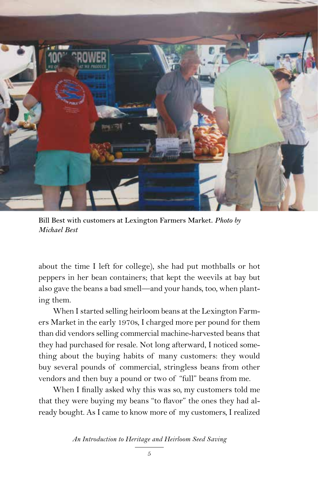

**Bill Best with customers at Lexington Farmers Market.** *Photo by Michael Best*

about the time I left for college), she had put mothballs or hot peppers in her bean containers; that kept the weevils at bay but also gave the beans a bad smell—and your hands, too, when planting them.

When I started selling heirloom beans at the Lexington Farmers Market in the early 1970s, I charged more per pound for them than did vendors selling commercial machine-harvested beans that they had purchased for resale. Not long afterward, I noticed something about the buying habits of many customers: they would buy several pounds of commercial, stringless beans from other vendors and then buy a pound or two of "full" beans from me.

When I finally asked why this was so, my customers told me that they were buying my beans "to flavor" the ones they had already bought. As I came to know more of my customers, I realized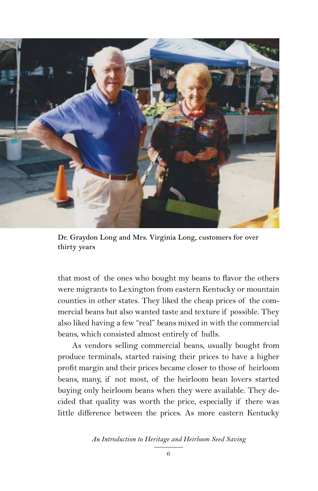

**Dr. Graydon Long and Mrs. Virginia Long, customers for over thirty years**

that most of the ones who bought my beans to flavor the others were migrants to Lexington from eastern Kentucky or mountain counties in other states. They liked the cheap prices of the commercial beans but also wanted taste and texture if possible. They also liked having a few "real" beans mixed in with the commercial beans, which consisted almost entirely of hulls.

As vendors selling commercial beans, usually bought from produce terminals, started raising their prices to have a higher profit margin and their prices became closer to those of heirloom beans, many, if not most, of the heirloom bean lovers started buying only heirloom beans when they were available. They decided that quality was worth the price, especially if there was little difference between the prices. As more eastern Kentucky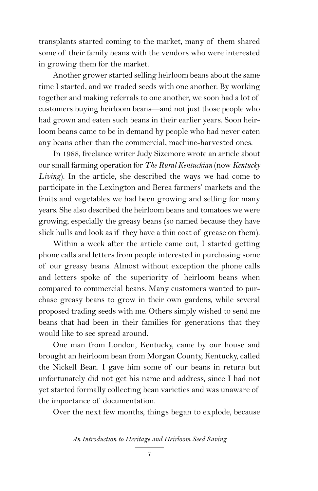transplants started coming to the market, many of them shared some of their family beans with the vendors who were interested in growing them for the market.

Another grower started selling heirloom beans about the same time I started, and we traded seeds with one another. By working together and making referrals to one another, we soon had a lot of customers buying heirloom beans—and not just those people who had grown and eaten such beans in their earlier years. Soon heirloom beans came to be in demand by people who had never eaten any beans other than the commercial, machine-harvested ones.

 In 1988, freelance writer Judy Sizemore wrote an article about our small farming operation for *The Rural Kentuckian* (now *Kentucky Living*). In the article, she described the ways we had come to participate in the Lexington and Berea farmers' markets and the fruits and vegetables we had been growing and selling for many years. She also described the heirloom beans and tomatoes we were growing, especially the greasy beans (so named because they have slick hulls and look as if they have a thin coat of grease on them).

Within a week after the article came out, I started getting phone calls and letters from people interested in purchasing some of our greasy beans. Almost without exception the phone calls and letters spoke of the superiority of heirloom beans when compared to commercial beans. Many customers wanted to purchase greasy beans to grow in their own gardens, while several proposed trading seeds with me. Others simply wished to send me beans that had been in their families for generations that they would like to see spread around.

One man from London, Kentucky, came by our house and brought an heirloom bean from Morgan County, Kentucky, called the Nickell Bean. I gave him some of our beans in return but unfortunately did not get his name and address, since I had not yet started formally collecting bean varieties and was unaware of the importance of documentation.

Over the next few months, things began to explode, because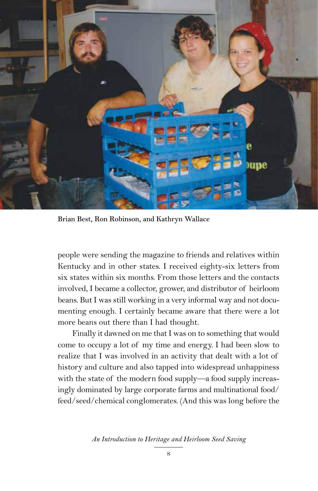

**Brian Best, Ron Robinson, and Kathryn Wallace**

people were sending the magazine to friends and relatives within Kentucky and in other states. I received eighty-six letters from six states within six months. From those letters and the contacts involved, I became a collector, grower, and distributor of heirloom beans. But I was still working in a very informal way and not documenting enough. I certainly became aware that there were a lot more beans out there than I had thought.

Finally it dawned on me that I was on to something that would come to occupy a lot of my time and energy. I had been slow to realize that I was involved in an activity that dealt with a lot of history and culture and also tapped into widespread unhappiness with the state of the modern food supply—a food supply increasingly dominated by large corporate farms and multinational food/ feed/seed/chemical conglomerates. (And this was long before the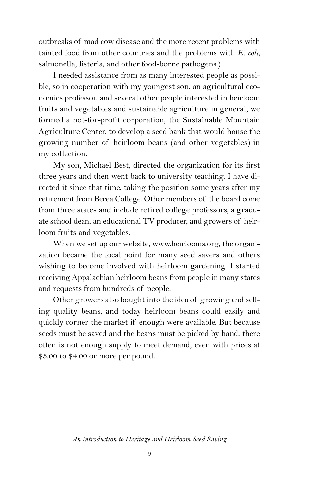outbreaks of mad cow disease and the more recent problems with tainted food from other countries and the problems with *E. coli,* salmonella, listeria, and other food-borne pathogens.)

 I needed assistance from as many interested people as possible, so in cooperation with my youngest son, an agricultural economics professor, and several other people interested in heirloom fruits and vegetables and sustainable agriculture in general, we formed a not-for-profit corporation, the Sustainable Mountain Agriculture Center, to develop a seed bank that would house the growing number of heirloom beans (and other vegetables) in my collection.

My son, Michael Best, directed the organization for its first three years and then went back to university teaching. I have directed it since that time, taking the position some years after my retirement from Berea College. Other members of the board come from three states and include retired college professors, a graduate school dean, an educational TV producer, and growers of heirloom fruits and vegetables.

When we set up our website, www.heirlooms.org, the organization became the focal point for many seed savers and others wishing to become involved with heirloom gardening. I started receiving Appalachian heirloom beans from people in many states and requests from hundreds of people.

Other growers also bought into the idea of growing and selling quality beans, and today heirloom beans could easily and quickly corner the market if enough were available. But because seeds must be saved and the beans must be picked by hand, there often is not enough supply to meet demand, even with prices at \$3.00 to \$4.00 or more per pound.